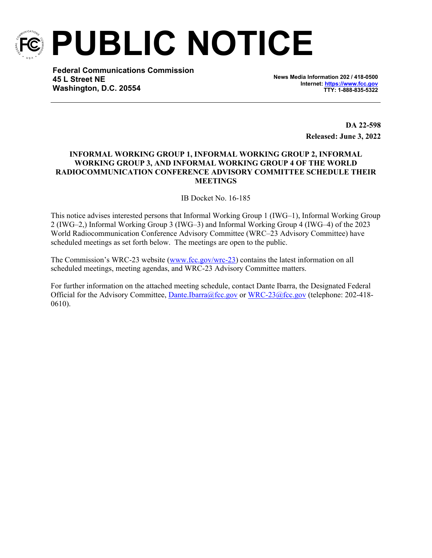

**PUBLIC NOTICE**

**Federal Communications Commission 45 L Street NE Washington, D.C. 20554**

**News Media Information 202 / 418-0500 Internet:<https://www.fcc.gov> TTY: 1-888-835-5322**

> **DA 22-598 Released: June 3, 2022**

# **INFORMAL WORKING GROUP 1, INFORMAL WORKING GROUP 2, INFORMAL WORKING GROUP 3, AND INFORMAL WORKING GROUP 4 OF THE WORLD RADIOCOMMUNICATION CONFERENCE ADVISORY COMMITTEE SCHEDULE THEIR MEETINGS**

IB Docket No. 16-185

This notice advises interested persons that Informal Working Group 1 (IWG–1), Informal Working Group 2 (IWG–2,) Informal Working Group 3 (IWG–3) and Informal Working Group 4 (IWG–4) of the 2023 World Radiocommunication Conference Advisory Committee (WRC–23 Advisory Committee) have scheduled meetings as set forth below. The meetings are open to the public.

The Commission's WRC-23 website ([www.fcc.gov/wrc-23](http://www.fcc.gov/wrc-23)) contains the latest information on all scheduled meetings, meeting agendas, and WRC-23 Advisory Committee matters.

For further information on the attached meeting schedule, contact Dante Ibarra, the Designated Federal Official for the Advisory Committee, [Dante.Ibarra@fcc.gov](mailto:dante.ibarra@fcc.gov) or [WRC-23@fcc.gov](mailto:WRC-23@fcc.gov) (telephone: 202-418- 0610).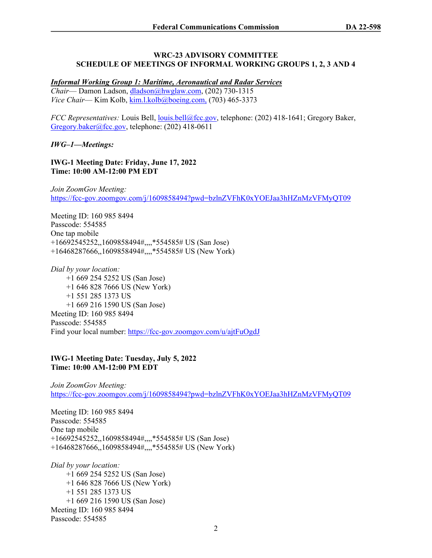#### **WRC-23 ADVISORY COMMITTEE SCHEDULE OF MEETINGS OF INFORMAL WORKING GROUPS 1, 2, 3 AND 4**

#### *Informal Working Group 1: Maritime, Aeronautical and Radar Services*

*Chair*— Damon Ladson, [dladson@hwglaw.com](mailto:dladson@hwglaw.com), (202) 730-1315 *Vice Chair*— Kim Kolb, [kim.l.kolb@boeing.com,](mailto:kim.l.kolb@boeing.com) (703) 465-3373

*FCC Representatives:* Louis Bell, [louis.bell@fcc.gov](mailto:louis.bell@fcc.gov), telephone: (202) 418-1641; Gregory Baker, [Gregory.baker@fcc.gov,](mailto:Gregory.baker@fcc.gov) telephone: (202) 418-0611

*IWG–1—Meetings:*

**IWG-1 Meeting Date: Friday, June 17, 2022 Time: 10:00 AM-12:00 PM EDT**

*Join ZoomGov Meeting:* <https://fcc-gov.zoomgov.com/j/1609858494?pwd=bzlnZVFhK0xYOEJaa3hHZnMzVFMyQT09>

Meeting ID: 160 985 8494 Passcode: 554585 One tap mobile +16692545252,,1609858494#,,,,\*554585# US (San Jose) +16468287666,,1609858494#,,,,\*554585# US (New York)

*Dial by your location:* +1 669 254 5252 US (San Jose) +1 646 828 7666 US (New York) +1 551 285 1373 US +1 669 216 1590 US (San Jose) Meeting ID: 160 985 8494 Passcode: 554585 Find your local number:<https://fcc-gov.zoomgov.com/u/ajtFuOgdJ>

### **IWG-1 Meeting Date: Tuesday, July 5, 2022 Time: 10:00 AM-12:00 PM EDT**

*Join ZoomGov Meeting:* <https://fcc-gov.zoomgov.com/j/1609858494?pwd=bzlnZVFhK0xYOEJaa3hHZnMzVFMyQT09>

Meeting ID: 160 985 8494 Passcode: 554585 One tap mobile +16692545252,,1609858494#,,,,\*554585# US (San Jose) +16468287666,,1609858494#,,,,\*554585# US (New York)

*Dial by your location:* +1 669 254 5252 US (San Jose) +1 646 828 7666 US (New York) +1 551 285 1373 US +1 669 216 1590 US (San Jose) Meeting ID: 160 985 8494 Passcode: 554585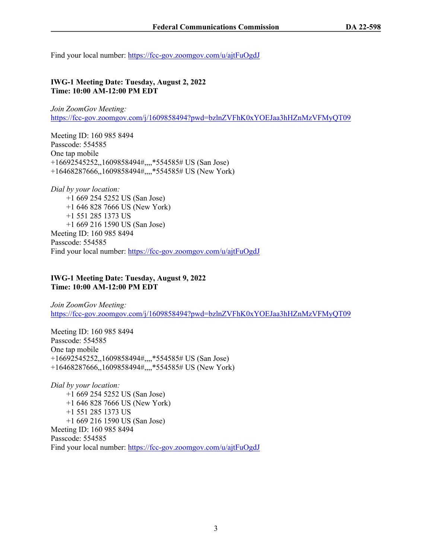Find your local number:<https://fcc-gov.zoomgov.com/u/ajtFuOgdJ>

### **IWG-1 Meeting Date: Tuesday, August 2, 2022 Time: 10:00 AM-12:00 PM EDT**

*Join ZoomGov Meeting:* <https://fcc-gov.zoomgov.com/j/1609858494?pwd=bzlnZVFhK0xYOEJaa3hHZnMzVFMyQT09>

Meeting ID: 160 985 8494 Passcode: 554585 One tap mobile +16692545252,,1609858494#,,,,\*554585# US (San Jose) +16468287666,,1609858494#,,,,\*554585# US (New York)

*Dial by your location:* +1 669 254 5252 US (San Jose) +1 646 828 7666 US (New York) +1 551 285 1373 US +1 669 216 1590 US (San Jose) Meeting ID: 160 985 8494 Passcode: 554585 Find your local number:<https://fcc-gov.zoomgov.com/u/ajtFuOgdJ>

### **IWG-1 Meeting Date: Tuesday, August 9, 2022 Time: 10:00 AM-12:00 PM EDT**

*Join ZoomGov Meeting:* <https://fcc-gov.zoomgov.com/j/1609858494?pwd=bzlnZVFhK0xYOEJaa3hHZnMzVFMyQT09>

Meeting ID: 160 985 8494 Passcode: 554585 One tap mobile +16692545252,,1609858494#,,,,\*554585# US (San Jose) +16468287666,,1609858494#,,,,\*554585# US (New York)

*Dial by your location:* +1 669 254 5252 US (San Jose) +1 646 828 7666 US (New York) +1 551 285 1373 US +1 669 216 1590 US (San Jose) Meeting ID: 160 985 8494 Passcode: 554585 Find your local number:<https://fcc-gov.zoomgov.com/u/ajtFuOgdJ>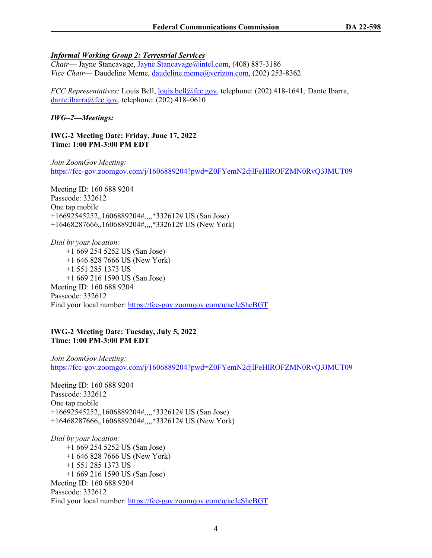# *Informal Working Group 2: Terrestrial Services*

*Chair*— Jayne Stancavage, [Jayne.Stancavage@intel.com](mailto:Jayne.Stancavage@intel.com), (408) 887-3186 *Vice Chair*— Daudeline Meme, [daudeline.meme@verizon.com](mailto:daudeline.meme@verizon.com), (202) 253-8362

*FCC Representatives:* Louis Bell, [louis.bell@fcc.gov](mailto:louis.bell@fcc.gov), telephone: (202) 418-1641; Dante Ibarra, [dante.ibarra@fcc.gov](mailto:dante.ibarra@fcc.gov), telephone: (202) 418–0610

# *IWG–2—Meetings:*

**IWG-2 Meeting Date: Friday, June 17, 2022 Time: 1:00 PM-3:00 PM EDT**

*Join ZoomGov Meeting:* <https://fcc-gov.zoomgov.com/j/1606889204?pwd=Z0FYemN2djlFeHlROFZMN0RvQ3JMUT09>

Meeting ID: 160 688 9204 Passcode: 332612 One tap mobile +16692545252,,1606889204#,,,,\*332612# US (San Jose) +16468287666,,1606889204#,,,,\*332612# US (New York)

*Dial by your location:* +1 669 254 5252 US (San Jose) +1 646 828 7666 US (New York) +1 551 285 1373 US +1 669 216 1590 US (San Jose) Meeting ID: 160 688 9204 Passcode: 332612 Find your local number:<https://fcc-gov.zoomgov.com/u/aeJeShcBGT>

### **IWG-2 Meeting Date: Tuesday, July 5, 2022 Time: 1:00 PM-3:00 PM EDT**

*Join ZoomGov Meeting:* <https://fcc-gov.zoomgov.com/j/1606889204?pwd=Z0FYemN2djlFeHlROFZMN0RvQ3JMUT09>

Meeting ID: 160 688 9204 Passcode: 332612 One tap mobile +16692545252,,1606889204#,,,,\*332612# US (San Jose) +16468287666,,1606889204#,,,,\*332612# US (New York)

*Dial by your location:* +1 669 254 5252 US (San Jose) +1 646 828 7666 US (New York) +1 551 285 1373 US +1 669 216 1590 US (San Jose) Meeting ID: 160 688 9204 Passcode: 332612 Find your local number:<https://fcc-gov.zoomgov.com/u/aeJeShcBGT>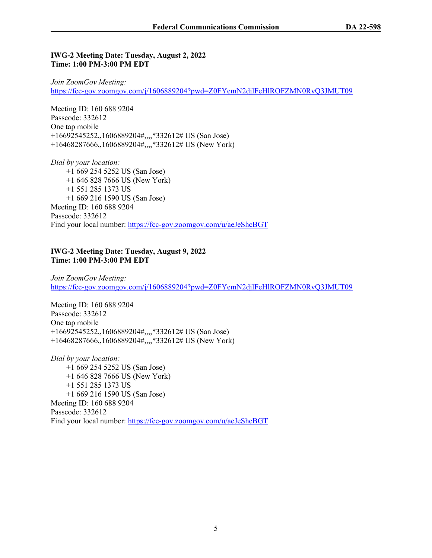#### **IWG-2 Meeting Date: Tuesday, August 2, 2022 Time: 1:00 PM-3:00 PM EDT**

*Join ZoomGov Meeting:* <https://fcc-gov.zoomgov.com/j/1606889204?pwd=Z0FYemN2djlFeHlROFZMN0RvQ3JMUT09>

Meeting ID: 160 688 9204 Passcode: 332612 One tap mobile +16692545252,,1606889204#,,,,\*332612# US (San Jose) +16468287666,,1606889204#,,,,\*332612# US (New York)

*Dial by your location:* +1 669 254 5252 US (San Jose) +1 646 828 7666 US (New York) +1 551 285 1373 US +1 669 216 1590 US (San Jose) Meeting ID: 160 688 9204 Passcode: 332612 Find your local number:<https://fcc-gov.zoomgov.com/u/aeJeShcBGT>

#### **IWG-2 Meeting Date: Tuesday, August 9, 2022 Time: 1:00 PM-3:00 PM EDT**

*Join ZoomGov Meeting:* <https://fcc-gov.zoomgov.com/j/1606889204?pwd=Z0FYemN2djlFeHlROFZMN0RvQ3JMUT09>

Meeting ID: 160 688 9204 Passcode: 332612 One tap mobile +16692545252,,1606889204#,,,,\*332612# US (San Jose) +16468287666,,1606889204#,,,,\*332612# US (New York)

*Dial by your location:* +1 669 254 5252 US (San Jose) +1 646 828 7666 US (New York) +1 551 285 1373 US +1 669 216 1590 US (San Jose) Meeting ID: 160 688 9204 Passcode: 332612 Find your local number:<https://fcc-gov.zoomgov.com/u/aeJeShcBGT>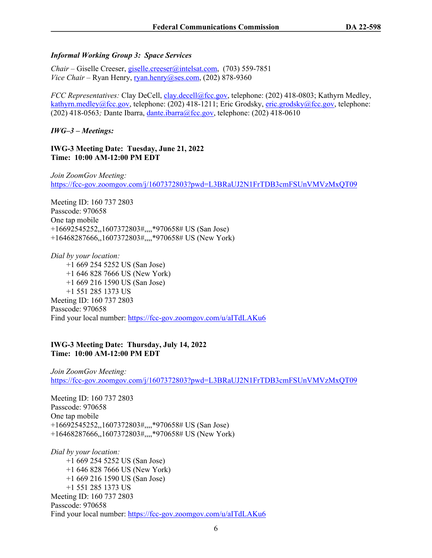### *Informal Working Group 3: Space Services*

*Chair* – Giselle Creeser, [giselle.creeser@intelsat.com,](mailto:giselle.creeser@intelsat.com) (703) 559-7851 *Vice Chair* – Ryan Henry, [ryan.henry@ses.com,](mailto:ryan.henry@ses.com) (202) 878-9360

*FCC Representatives:* Clay DeCell, [clay.decell@fcc.gov,](mailto:clay.decell@fcc.gov) telephone: (202) 418-0803; Kathyrn Medley, [kathyrn.medley@fcc.gov,](mailto:kathyrn.medley@fcc.gov) telephone: (202) 418-1211; Eric Grodsky, [eric.grodsky@fcc.gov](mailto:eric.grodsky@fcc.gov), telephone: (202) 418-0563*;* Dante Ibarra, [dante.ibarra@fcc.gov,](mailto:dante.ibarra@fcc.gov) telephone: (202) 418-0610

# *IWG–3 – Meetings:*

### **IWG-3 Meeting Date: Tuesday, June 21, 2022 Time: 10:00 AM-12:00 PM EDT**

*Join ZoomGov Meeting:* <https://fcc-gov.zoomgov.com/j/1607372803?pwd=L3BRaUJ2N1FrTDB3cmFSUnVMVzMxQT09>

Meeting ID: 160 737 2803 Passcode: 970658 One tap mobile +16692545252,,1607372803#,,,,\*970658# US (San Jose) +16468287666,,1607372803#,,,,\*970658# US (New York)

*Dial by your location:* +1 669 254 5252 US (San Jose) +1 646 828 7666 US (New York) +1 669 216 1590 US (San Jose) +1 551 285 1373 US Meeting ID: 160 737 2803 Passcode: 970658 Find your local number:<https://fcc-gov.zoomgov.com/u/aITdLAKu6>

### **IWG-3 Meeting Date: Thursday, July 14, 2022 Time: 10:00 AM-12:00 PM EDT**

*Join ZoomGov Meeting:* <https://fcc-gov.zoomgov.com/j/1607372803?pwd=L3BRaUJ2N1FrTDB3cmFSUnVMVzMxQT09>

Meeting ID: 160 737 2803 Passcode: 970658 One tap mobile +16692545252,,1607372803#,,,,\*970658# US (San Jose) +16468287666,,1607372803#,,,,\*970658# US (New York)

*Dial by your location:* +1 669 254 5252 US (San Jose) +1 646 828 7666 US (New York) +1 669 216 1590 US (San Jose) +1 551 285 1373 US Meeting ID: 160 737 2803 Passcode: 970658 Find your local number:<https://fcc-gov.zoomgov.com/u/aITdLAKu6>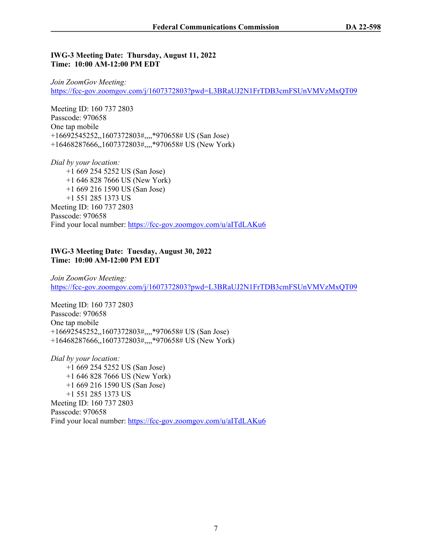#### **IWG-3 Meeting Date: Thursday, August 11, 2022 Time: 10:00 AM-12:00 PM EDT**

*Join ZoomGov Meeting:* <https://fcc-gov.zoomgov.com/j/1607372803?pwd=L3BRaUJ2N1FrTDB3cmFSUnVMVzMxQT09>

Meeting ID: 160 737 2803 Passcode: 970658 One tap mobile +16692545252,,1607372803#,,,,\*970658# US (San Jose) +16468287666,,1607372803#,,,,\*970658# US (New York)

*Dial by your location:* +1 669 254 5252 US (San Jose) +1 646 828 7666 US (New York) +1 669 216 1590 US (San Jose) +1 551 285 1373 US Meeting ID: 160 737 2803 Passcode: 970658 Find your local number:<https://fcc-gov.zoomgov.com/u/aITdLAKu6>

### **IWG-3 Meeting Date: Tuesday, August 30, 2022 Time: 10:00 AM-12:00 PM EDT**

*Join ZoomGov Meeting:* <https://fcc-gov.zoomgov.com/j/1607372803?pwd=L3BRaUJ2N1FrTDB3cmFSUnVMVzMxQT09>

Meeting ID: 160 737 2803 Passcode: 970658 One tap mobile +16692545252,,1607372803#,,,,\*970658# US (San Jose) +16468287666,,1607372803#,,,,\*970658# US (New York)

*Dial by your location:* +1 669 254 5252 US (San Jose) +1 646 828 7666 US (New York) +1 669 216 1590 US (San Jose) +1 551 285 1373 US Meeting ID: 160 737 2803 Passcode: 970658 Find your local number:<https://fcc-gov.zoomgov.com/u/aITdLAKu6>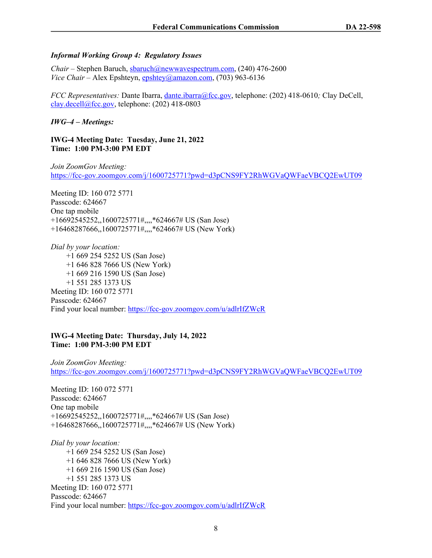### *Informal Working Group 4: Regulatory Issues*

*Chair –* Stephen Baruch, [sbaruch@newwavespectrum.com](mailto:sbaruch@newwavespectrum.com), (240) 476-2600 *Vice Chair* – Alex Epshteyn, [epshtey@amazon.com](mailto:epshtey@amazon.com), (703) 963-6136

*FCC Representatives: Dante Ibarra, [dante.ibarra@fcc.gov,](mailto:dante.ibarra@fcc.gov) telephone: (202) 418-0610; Clay DeCell,* [clay.decell@fcc.gov](mailto:clay.decell@fcc.gov), telephone: (202) 418-0803

*IWG–4 – Meetings:*

**IWG-4 Meeting Date: Tuesday, June 21, 2022 Time: 1:00 PM-3:00 PM EDT**

*Join ZoomGov Meeting:* <https://fcc-gov.zoomgov.com/j/1600725771?pwd=d3pCNS9FY2RhWGVaQWFaeVBCQ2EwUT09>

Meeting ID: 160 072 5771 Passcode: 624667 One tap mobile +16692545252,,1600725771#,,,,\*624667# US (San Jose) +16468287666,,1600725771#,,,,\*624667# US (New York)

*Dial by your location:* +1 669 254 5252 US (San Jose) +1 646 828 7666 US (New York) +1 669 216 1590 US (San Jose) +1 551 285 1373 US Meeting ID: 160 072 5771 Passcode: 624667 Find your local number:<https://fcc-gov.zoomgov.com/u/adlrIfZWcR>

#### **IWG-4 Meeting Date: Thursday, July 14, 2022 Time: 1:00 PM-3:00 PM EDT**

*Join ZoomGov Meeting:* <https://fcc-gov.zoomgov.com/j/1600725771?pwd=d3pCNS9FY2RhWGVaQWFaeVBCQ2EwUT09>

Meeting ID: 160 072 5771 Passcode: 624667 One tap mobile +16692545252,,1600725771#,,,,\*624667# US (San Jose) +16468287666,,1600725771#,,,,\*624667# US (New York)

*Dial by your location:* +1 669 254 5252 US (San Jose) +1 646 828 7666 US (New York) +1 669 216 1590 US (San Jose) +1 551 285 1373 US Meeting ID: 160 072 5771 Passcode: 624667 Find your local number:<https://fcc-gov.zoomgov.com/u/adlrIfZWcR>